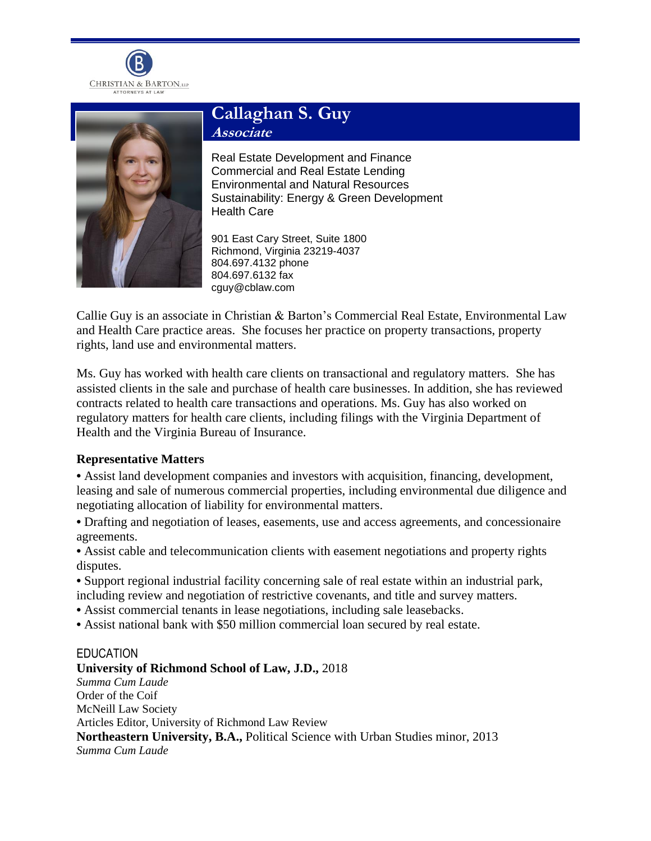



# **Callaghan S. Guy Associate**

Real Estate Development and Finance Commercial and Real Estate Lending Environmental and Natural Resources Sustainability: Energy & Green Development Health Care

901 East Cary Street, Suite 1800 Richmond, Virginia 23219-4037 804.697.4132 phone 804.697.6132 fax cguy@cblaw.com

Callie Guy is an associate in Christian & Barton's Commercial Real Estate, Environmental Law and Health Care practice areas. She focuses her practice on property transactions, property rights, land use and environmental matters.

Ms. Guy has worked with health care clients on transactional and regulatory matters. She has assisted clients in the sale and purchase of health care businesses. In addition, she has reviewed contracts related to health care transactions and operations. Ms. Guy has also worked on regulatory matters for health care clients, including filings with the Virginia Department of Health and the Virginia Bureau of Insurance.

## **Representative Matters**

**•** Assist land development companies and investors with acquisition, financing, development, leasing and sale of numerous commercial properties, including environmental due diligence and negotiating allocation of liability for environmental matters.

**•** Drafting and negotiation of leases, easements, use and access agreements, and concessionaire agreements.

• Assist cable and telecommunication clients with easement negotiations and property rights disputes.

- **•** Support regional industrial facility concerning sale of real estate within an industrial park, including review and negotiation of restrictive covenants, and title and survey matters.
- **•** Assist commercial tenants in lease negotiations, including sale leasebacks.
- **•** Assist national bank with \$50 million commercial loan secured by real estate.

## EDUCATION

## **University of Richmond School of Law, J.D.,** 2018

*Summa Cum Laude* Order of the Coif McNeill Law Society Articles Editor, University of Richmond Law Review **Northeastern University, B.A.,** Political Science with Urban Studies minor, 2013 *Summa Cum Laude*